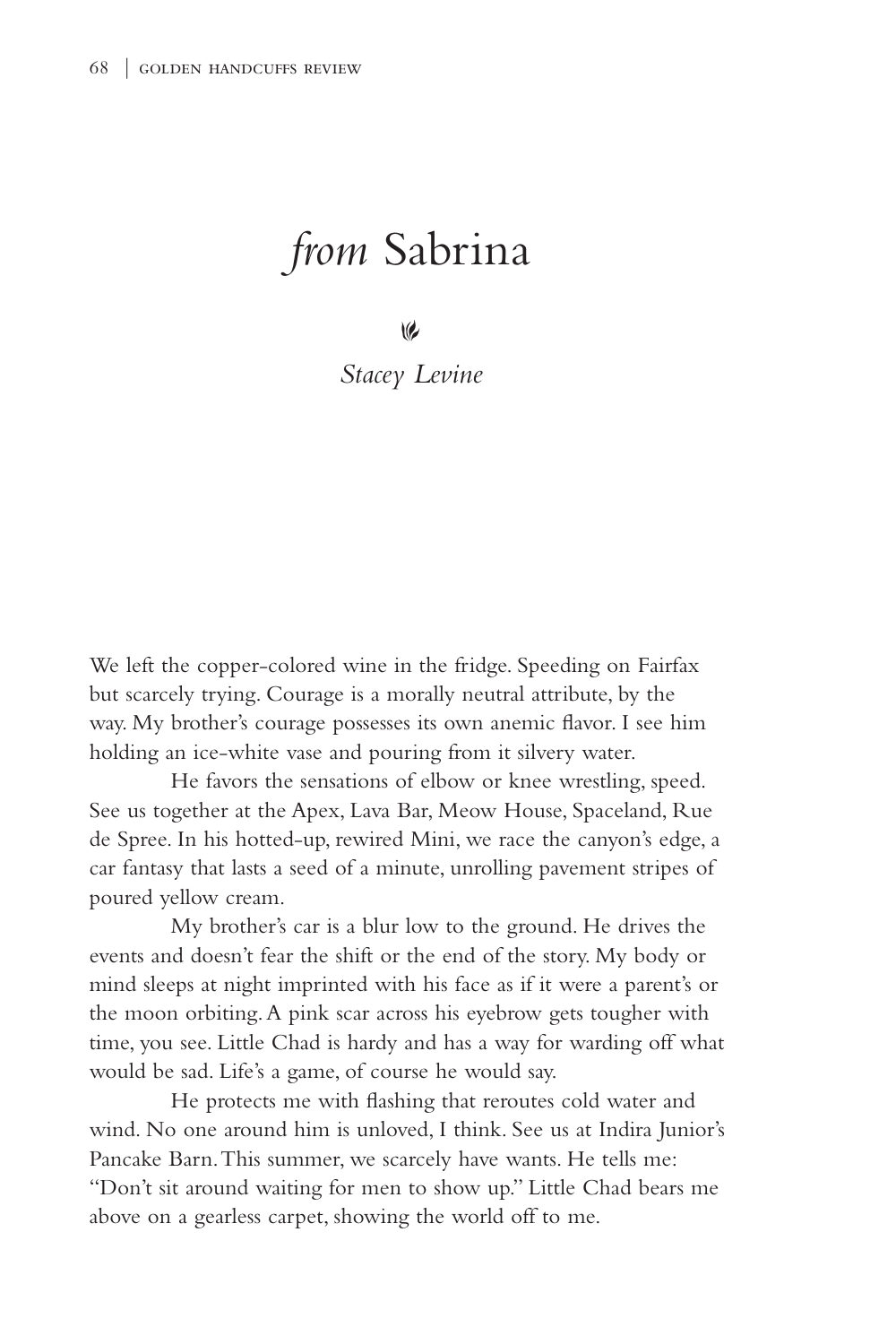## *from* Sabrina

 $\vee$ 

*Stacey Levine*

We left the copper-colored wine in the fridge. Speeding on Fairfax but scarcely trying. Courage is a morally neutral attribute, by the way. My brother's courage possesses its own anemic flavor. I see him holding an ice-white vase and pouring from it silvery water.

 He favors the sensations of elbow or knee wrestling, speed. See us together at the Apex, Lava Bar, Meow House, Spaceland, Rue de Spree. In his hotted-up, rewired Mini, we race the canyon's edge, a car fantasy that lasts a seed of a minute, unrolling pavement stripes of poured yellow cream.

My brother's car is a blur low to the ground. He drives the events and doesn't fear the shift or the end of the story. My body or mind sleeps at night imprinted with his face as if it were a parent's or the moon orbiting. A pink scar across his eyebrow gets tougher with time, you see. Little Chad is hardy and has a way for warding off what would be sad. Life's a game, of course he would say.

 He protects me with flashing that reroutes cold water and wind. No one around him is unloved, I think. See us at Indira Junior's Pancake Barn. This summer, we scarcely have wants. He tells me: "Don't sit around waiting for men to show up." Little Chad bears me above on a gearless carpet, showing the world off to me.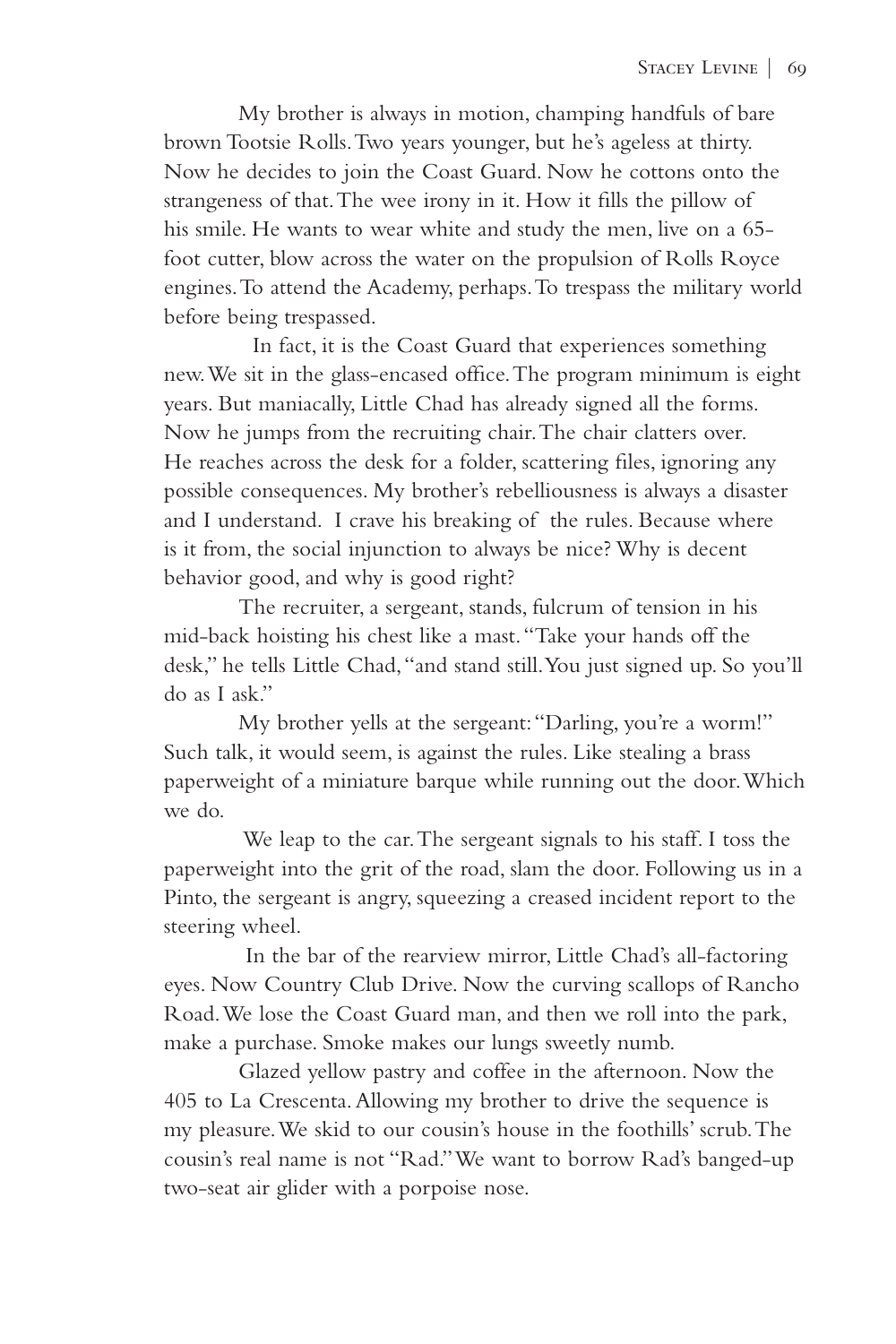My brother is always in motion, champing handfuls of bare brown Tootsie Rolls. Two years younger, but he's ageless at thirty. Now he decides to join the Coast Guard. Now he cottons onto the strangeness of that. The wee irony in it. How it fills the pillow of his smile. He wants to wear white and study the men, live on a 65 foot cutter, blow across the water on the propulsion of Rolls Royce engines. To attend the Academy, perhaps. To trespass the military world before being trespassed.

 In fact, it is the Coast Guard that experiences something new. We sit in the glass-encased office. The program minimum is eight years. But maniacally, Little Chad has already signed all the forms. Now he jumps from the recruiting chair. The chair clatters over. He reaches across the desk for a folder, scattering files, ignoring any possible consequences. My brother's rebelliousness is always a disaster and I understand. I crave his breaking of the rules. Because where is it from, the social injunction to always be nice? Why is decent behavior good, and why is good right?

 The recruiter, a sergeant, stands, fulcrum of tension in his mid-back hoisting his chest like a mast. "Take your hands off the desk," he tells Little Chad, "and stand still. You just signed up. So you'll do as I ask."

My brother yells at the sergeant: "Darling, you're a worm!" Such talk, it would seem, is against the rules. Like stealing a brass paperweight of a miniature barque while running out the door. Which we do.

 We leap to the car. The sergeant signals to his staff. I toss the paperweight into the grit of the road, slam the door. Following us in a Pinto, the sergeant is angry, squeezing a creased incident report to the steering wheel.

 In the bar of the rearview mirror, Little Chad's all-factoring eyes. Now Country Club Drive. Now the curving scallops of Rancho Road. We lose the Coast Guard man, and then we roll into the park, make a purchase. Smoke makes our lungs sweetly numb.

Glazed yellow pastry and coffee in the afternoon. Now the 405 to La Crescenta. Allowing my brother to drive the sequence is my pleasure. We skid to our cousin's house in the foothills' scrub. The cousin's real name is not "Rad." We want to borrow Rad's banged-up two-seat air glider with a porpoise nose.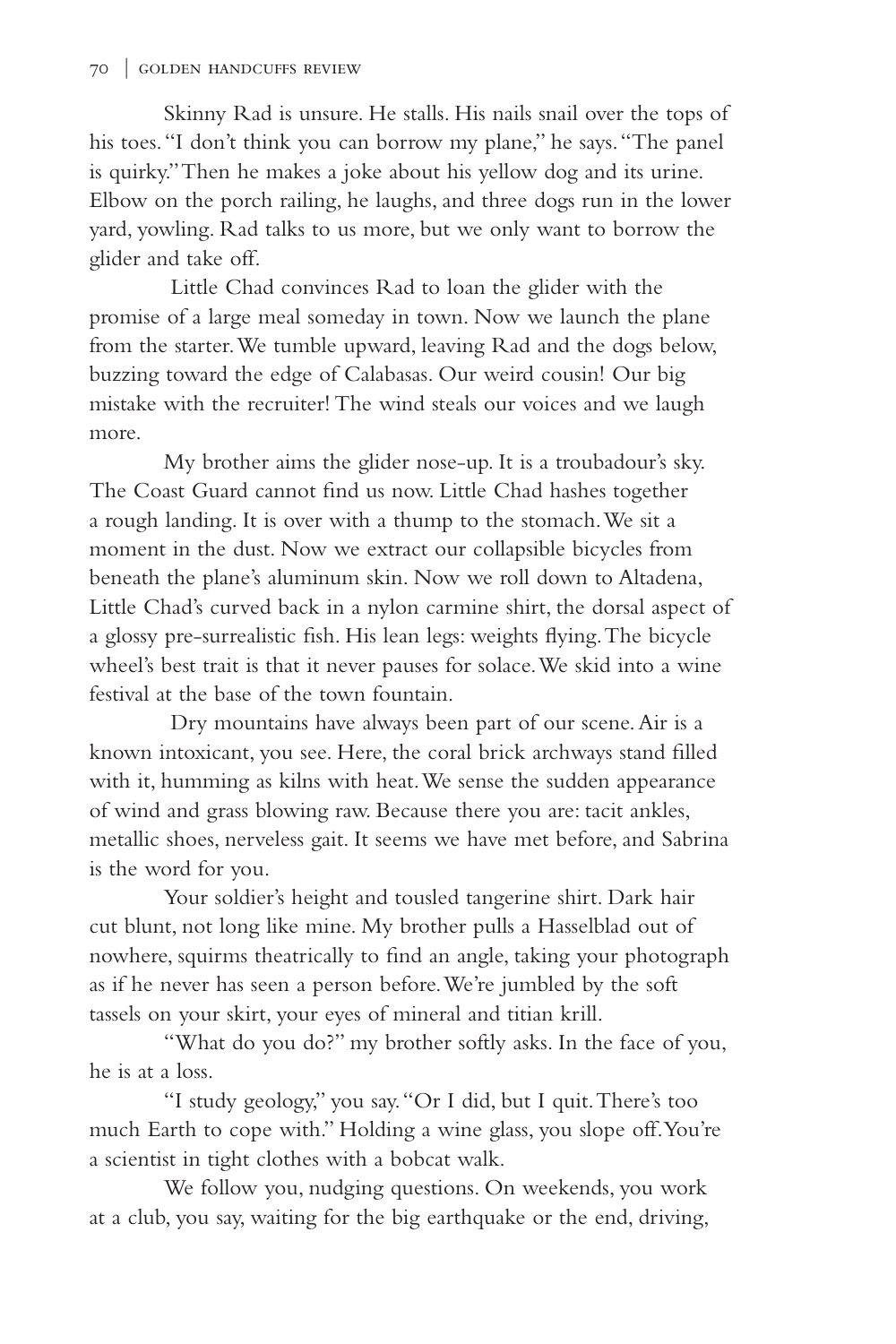Skinny Rad is unsure. He stalls. His nails snail over the tops of his toes. "I don't think you can borrow my plane," he says. "The panel is quirky." Then he makes a joke about his yellow dog and its urine. Elbow on the porch railing, he laughs, and three dogs run in the lower yard, yowling. Rad talks to us more, but we only want to borrow the glider and take off.

Little Chad convinces Rad to loan the glider with the promise of a large meal someday in town. Now we launch the plane from the starter. We tumble upward, leaving Rad and the dogs below, buzzing toward the edge of Calabasas. Our weird cousin! Our big mistake with the recruiter! The wind steals our voices and we laugh more.

 My brother aims the glider nose-up. It is a troubadour's sky. The Coast Guard cannot find us now. Little Chad hashes together a rough landing. It is over with a thump to the stomach. We sit a moment in the dust. Now we extract our collapsible bicycles from beneath the plane's aluminum skin. Now we roll down to Altadena, Little Chad's curved back in a nylon carmine shirt, the dorsal aspect of a glossy pre-surrealistic fish. His lean legs: weights flying. The bicycle wheel's best trait is that it never pauses for solace. We skid into a wine festival at the base of the town fountain.

Dry mountains have always been part of our scene. Air is a known intoxicant, you see. Here, the coral brick archways stand filled with it, humming as kilns with heat. We sense the sudden appearance of wind and grass blowing raw. Because there you are: tacit ankles, metallic shoes, nerveless gait. It seems we have met before, and Sabrina is the word for you.

 Your soldier's height and tousled tangerine shirt. Dark hair cut blunt, not long like mine. My brother pulls a Hasselblad out of nowhere, squirms theatrically to find an angle, taking your photograph as if he never has seen a person before. We're jumbled by the soft tassels on your skirt, your eyes of mineral and titian krill.

"What do you do?" my brother softly asks. In the face of you, he is at a loss.

"I study geology," you say. "Or I did, but I quit. There's too much Earth to cope with." Holding a wine glass, you slope off. You're a scientist in tight clothes with a bobcat walk.

We follow you, nudging questions. On weekends, you work at a club, you say, waiting for the big earthquake or the end, driving,